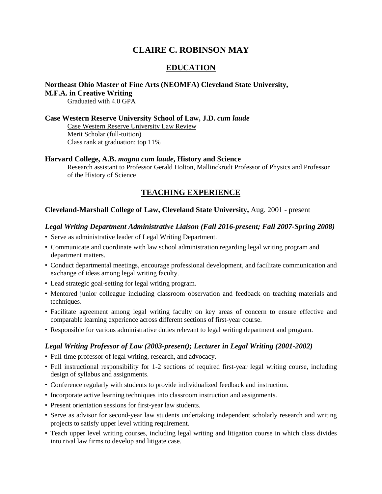# **CLAIRE C. ROBINSON MAY**

## **EDUCATION**

# **Northeast Ohio Master of Fine Arts (NEOMFA) Cleveland State University, M.F.A. in Creative Writing**

Graduated with 4.0 GPA

#### **Case Western Reserve University School of Law, J.D.** *cum laude*

Case Western Reserve University Law Review Merit Scholar (full-tuition) Class rank at graduation: top 11%

#### **Harvard College, A.B.** *magna cum laude***, History and Science**

Research assistant to Professor Gerald Holton, Mallinckrodt Professor of Physics and Professor of the History of Science

## **TEACHING EXPERIENCE**

## **Cleveland-Marshall College of Law, Cleveland State University,** Aug. 2001 - present

#### *Legal Writing Department Administrative Liaison (Fall 2016-present; Fall 2007-Spring 2008)*

- Serve as administrative leader of Legal Writing Department.
- Communicate and coordinate with law school administration regarding legal writing program and department matters.
- Conduct departmental meetings, encourage professional development, and facilitate communication and exchange of ideas among legal writing faculty.
- Lead strategic goal-setting for legal writing program.
- Mentored junior colleague including classroom observation and feedback on teaching materials and techniques.
- Facilitate agreement among legal writing faculty on key areas of concern to ensure effective and comparable learning experience across different sections of first-year course.
- Responsible for various administrative duties relevant to legal writing department and program.

#### *Legal Writing Professor of Law (2003-present); Lecturer in Legal Writing (2001-2002)*

- Full-time professor of legal writing, research, and advocacy.
- Full instructional responsibility for 1-2 sections of required first-year legal writing course, including design of syllabus and assignments.
- Conference regularly with students to provide individualized feedback and instruction.
- Incorporate active learning techniques into classroom instruction and assignments.
- Present orientation sessions for first-year law students.
- Serve as advisor for second-year law students undertaking independent scholarly research and writing projects to satisfy upper level writing requirement.
- Teach upper level writing courses, including legal writing and litigation course in which class divides into rival law firms to develop and litigate case.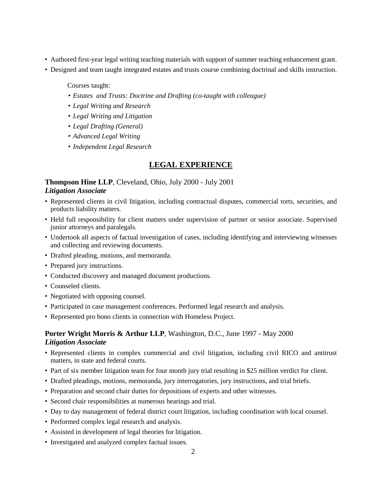- Authored first-year legal writing teaching materials with support of summer teaching enhancement grant.
- Designed and team taught integrated estates and trusts course combining doctrinal and skills instruction.

Courses taught:

- *Estates and Trusts: Doctrine and Drafting (co-taught with colleague)*
- *Legal Writing and Research*
- *Legal Writing and Litigation*
- *Legal Drafting (General)*
- *Advanced Legal Writing*
- *Independent Legal Research*

#### **LEGAL EXPERIENCE**

## **Thompson Hine LLP**, Cleveland, Ohio, July 2000 - July 2001 *Litigation Associate*

- Represented clients in civil litigation, including contractual disputes, commercial torts, securities, and products liability matters.
- Held full responsibility for client matters under supervision of partner or senior associate. Supervised junior attorneys and paralegals.
- Undertook all aspects of factual investigation of cases, including identifying and interviewing witnesses and collecting and reviewing documents.
- Drafted pleading, motions, and memoranda.
- Prepared jury instructions.
- Conducted discovery and managed document productions.
- Counseled clients.
- Negotiated with opposing counsel.
- Participated in case management conferences. Performed legal research and analysis.
- Represented pro bono clients in connection with Homeless Project.

## **Porter Wright Morris & Arthur LLP**, Washington, D.C., June 1997 - May 2000 *Litigation Associate*

- Represented clients in complex commercial and civil litigation, including civil RICO and antitrust matters, in state and federal courts.
- Part of six member litigation team for four month jury trial resulting in \$25 million verdict for client.
- Drafted pleadings, motions, memoranda, jury interrogatories, jury instructions, and trial briefs.
- Preparation and second chair duties for depositions of experts and other witnesses.
- Second chair responsibilities at numerous hearings and trial.
- Day to day management of federal district court litigation, including coordination with local counsel.
- Performed complex legal research and analysis.
- Assisted in development of legal theories for litigation.
- Investigated and analyzed complex factual issues.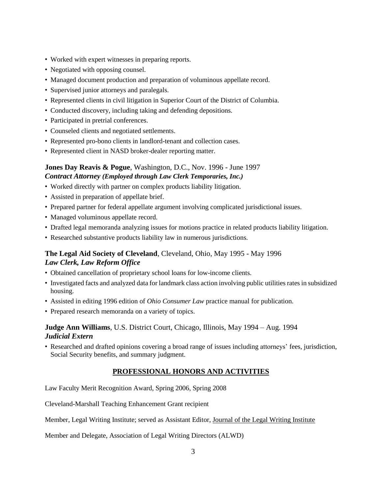- Worked with expert witnesses in preparing reports.
- Negotiated with opposing counsel.
- Managed document production and preparation of voluminous appellate record.
- Supervised junior attorneys and paralegals.
- Represented clients in civil litigation in Superior Court of the District of Columbia.
- Conducted discovery, including taking and defending depositions.
- Participated in pretrial conferences.
- Counseled clients and negotiated settlements.
- Represented pro-bono clients in landlord-tenant and collection cases.
- Represented client in NASD broker-dealer reporting matter.

## **Jones Day Reavis & Pogue**, Washington, D.C., Nov. 1996 - June 1997 *Contract Attorney (Employed through Law Clerk Temporaries, Inc.)*

- Worked directly with partner on complex products liability litigation.
- Assisted in preparation of appellate brief.
- Prepared partner for federal appellate argument involving complicated jurisdictional issues.
- Managed voluminous appellate record.
- Drafted legal memoranda analyzing issues for motions practice in related products liability litigation.
- Researched substantive products liability law in numerous jurisdictions.

# **The Legal Aid Society of Cleveland**, Cleveland, Ohio, May 1995 - May 1996 *Law Clerk, Law Reform Office*

- Obtained cancellation of proprietary school loans for low-income clients.
- Investigated facts and analyzed data for landmark class action involving public utilities rates in subsidized housing.
- Assisted in editing 1996 edition of *Ohio Consumer Law* practice manual for publication.
- Prepared research memoranda on a variety of topics.

## **Judge Ann Williams**, U.S. District Court, Chicago, Illinois, May 1994 – Aug. 1994 *Judicial Extern*

• Researched and drafted opinions covering a broad range of issues including attorneys' fees, jurisdiction, Social Security benefits, and summary judgment.

# **PROFESSIONAL HONORS AND ACTIVITIES**

Law Faculty Merit Recognition Award, Spring 2006, Spring 2008

Cleveland-Marshall Teaching Enhancement Grant recipient

Member, Legal Writing Institute; served as Assistant Editor, Journal of the Legal Writing Institute

Member and Delegate, Association of Legal Writing Directors (ALWD)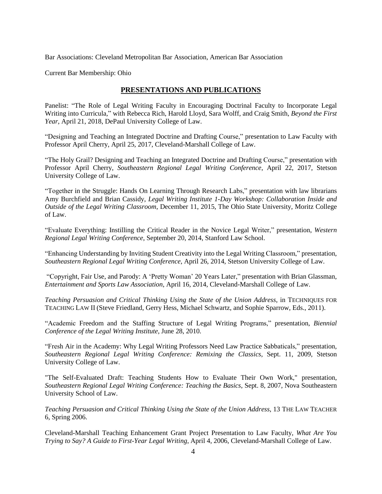Bar Associations: Cleveland Metropolitan Bar Association, American Bar Association

Current Bar Membership: Ohio

## **PRESENTATIONS AND PUBLICATIONS**

Panelist: "The Role of Legal Writing Faculty in Encouraging Doctrinal Faculty to Incorporate Legal Writing into Curricula," with Rebecca Rich, Harold Lloyd, Sara Wolff, and Craig Smith, *Beyond the First Year*, April 21, 2018, DePaul University College of Law.

"Designing and Teaching an Integrated Doctrine and Drafting Course," presentation to Law Faculty with Professor April Cherry, April 25, 2017, Cleveland-Marshall College of Law.

"The Holy Grail? Designing and Teaching an Integrated Doctrine and Drafting Course," presentation with Professor April Cherry, *Southeastern Regional Legal Writing Conference*, April 22, 2017, Stetson University College of Law.

"Together in the Struggle: Hands On Learning Through Research Labs," presentation with law librarians Amy Burchfield and Brian Cassidy, *Legal Writing Institute 1-Day Workshop: Collaboration Inside and Outside of the Legal Writing Classroom*, December 11, 2015, The Ohio State University, Moritz College of Law.

"Evaluate Everything: Instilling the Critical Reader in the Novice Legal Writer," presentation, *Western Regional Legal Writing Conference*, September 20, 2014, Stanford Law School.

"Enhancing Understanding by Inviting Student Creativity into the Legal Writing Classroom," presentation, *Southeastern Regional Legal Writing Conference*, April 26, 2014, Stetson University College of Law.

"Copyright, Fair Use, and Parody: A 'Pretty Woman' 20 Years Later," presentation with Brian Glassman, *Entertainment and Sports Law Association*, April 16, 2014, Cleveland-Marshall College of Law.

*Teaching Persuasion and Critical Thinking Using the State of the Union Address*, in TECHNIQUES FOR TEACHING LAW II (Steve Friedland, Gerry Hess, Michael Schwartz, and Sophie Sparrow, Eds., 2011).

"Academic Freedom and the Staffing Structure of Legal Writing Programs," presentation, *Biennial Conference of the Legal Writing Institute*, June 28, 2010.

"Fresh Air in the Academy: Why Legal Writing Professors Need Law Practice Sabbaticals," presentation, *Southeastern Regional Legal Writing Conference: Remixing the Classics*, Sept. 11, 2009, Stetson University College of Law.

"The Self-Evaluated Draft: Teaching Students How to Evaluate Their Own Work," presentation, *Southeastern Regional Legal Writing Conference: Teaching the Basics*, Sept. 8, 2007, Nova Southeastern University School of Law.

*Teaching Persuasion and Critical Thinking Using the State of the Union Address*, 13 THE LAW TEACHER 6, Spring 2006.

Cleveland-Marshall Teaching Enhancement Grant Project Presentation to Law Faculty, *What Are You Trying to Say? A Guide to First-Year Legal Writing*, April 4, 2006, Cleveland-Marshall College of Law.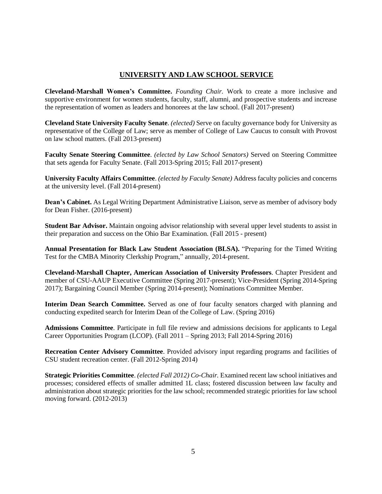# **UNIVERSITY AND LAW SCHOOL SERVICE**

**Cleveland-Marshall Women's Committee.** *Founding Chair.* Work to create a more inclusive and supportive environment for women students, faculty, staff, alumni, and prospective students and increase the representation of women as leaders and honorees at the law school. (Fall 2017-present)

**Cleveland State University Faculty Senate**. *(elected)* Serve on faculty governance body for University as representative of the College of Law; serve as member of College of Law Caucus to consult with Provost on law school matters. (Fall 2013-present)

**Faculty Senate Steering Committee**. *(elected by Law School Senators)* Served on Steering Committee that sets agenda for Faculty Senate. (Fall 2013-Spring 2015; Fall 2017-present)

**University Faculty Affairs Committee**. *(elected by Faculty Senate)* Address faculty policies and concerns at the university level. (Fall 2014-present)

**Dean's Cabinet.** As Legal Writing Department Administrative Liaison, serve as member of advisory body for Dean Fisher. (2016-present)

**Student Bar Advisor.** Maintain ongoing advisor relationship with several upper level students to assist in their preparation and success on the Ohio Bar Examination. (Fall 2015 - present)

**Annual Presentation for Black Law Student Association (BLSA).** "Preparing for the Timed Writing Test for the CMBA Minority Clerkship Program," annually, 2014-present.

**Cleveland-Marshall Chapter, American Association of University Professors**. Chapter President and member of CSU-AAUP Executive Committee (Spring 2017-present); Vice-President (Spring 2014-Spring 2017); Bargaining Council Member (Spring 2014-present); Nominations Committee Member.

**Interim Dean Search Committee.** Served as one of four faculty senators charged with planning and conducting expedited search for Interim Dean of the College of Law. (Spring 2016)

**Admissions Committee**. Participate in full file review and admissions decisions for applicants to Legal Career Opportunities Program (LCOP). (Fall 2011 – Spring 2013; Fall 2014-Spring 2016)

**Recreation Center Advisory Committee**. Provided advisory input regarding programs and facilities of CSU student recreation center. (Fall 2012-Spring 2014)

**Strategic Priorities Committee**. *(elected Fall 2012) Co-Chair.* Examined recent law school initiatives and processes; considered effects of smaller admitted 1L class; fostered discussion between law faculty and administration about strategic priorities for the law school; recommended strategic priorities for law school moving forward. (2012-2013)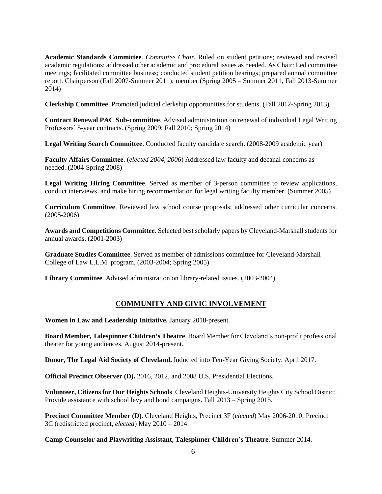**Academic Standards Committee**. *Committee Chair.* Ruled on student petitions; reviewed and revised academic regulations; addressed other academic and procedural issues as needed. As Chair: Led committee meetings; facilitated committee business; conducted student petition hearings; prepared annual committee report. Chairperson (Fall 2007-Summer 2011); member (Spring 2005 – Summer 2011, Fall 2013-Summer 2014)

**Clerkship Committee**. Promoted judicial clerkship opportunities for students. (Fall 2012-Spring 2013)

**Contract Renewal PAC Sub-committee**. Advised administration on renewal of individual Legal Writing Professors' 5-year contracts. (Spring 2009; Fall 2010; Spring 2014)

**Legal Writing Search Committee**. Conducted faculty candidate search. (2008-2009 academic year)

**Faculty Affairs Committee**. (*elected 2004, 2006*) Addressed law faculty and decanal concerns as needed. (2004-Spring 2008)

**Legal Writing Hiring Committee**. Served as member of 3-person committee to review applications, conduct interviews, and make hiring recommendation for legal writing faculty member. (Summer 2005)

**Curriculum Committee**. Reviewed law school course proposals; addressed other curricular concerns. (2005-2006)

**Awards and Competitions Committee**. Selected best scholarly papers by Cleveland-Marshall students for annual awards. (2001-2003)

**Graduate Studies Committee**. Served as member of admissions committee for Cleveland-Marshall College of Law L.L.M. program. (2003-2004; Spring 2005)

**Library Committee**. Advised administration on library-related issues. (2003-2004)

## **COMMUNITY AND CIVIC INVOLVEMENT**

**Women in Law and Leadership Initiative.** January 2018-present.

**Board Member, Talespinner Children's Theatre**. Board Member for Cleveland's non-profit professional theater for young audiences. August 2014-present.

**Donor, The Legal Aid Society of Cleveland.** Inducted into Ten-Year Giving Society. April 2017.

**Official Precinct Observer (D).** 2016, 2012, and 2008 U.S. Presidential Elections.

**Volunteer, Citizensfor Our Heights Schools**. Cleveland Heights-University Heights City School District. Provide assistance with school levy and bond campaigns. Fall 2013 – Spring 2015.

**Precinct Committee Member (D).** Cleveland Heights, Precinct 3F (*elected*) May 2006-2010; Precinct 3C (redistricted precinct, *elected*) May 2010 – 2014.

**Camp Counselor and Playwriting Assistant, Talespinner Children's Theatre**. Summer 2014.